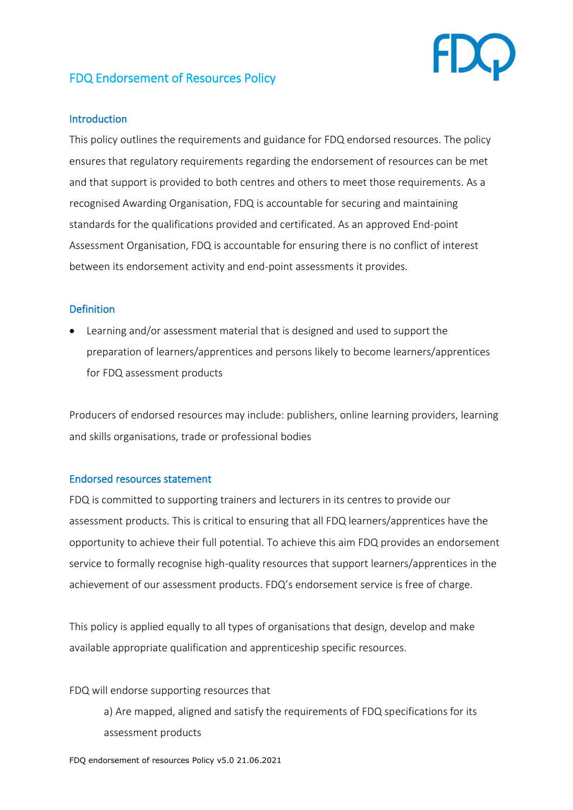

# FDQ Endorsement of Resources Policy

### **Introduction**

This policy outlines the requirements and guidance for FDQ endorsed resources. The policy ensures that regulatory requirements regarding the endorsement of resources can be met and that support is provided to both centres and others to meet those requirements. As a recognised Awarding Organisation, FDQ is accountable for securing and maintaining standards for the qualifications provided and certificated. As an approved End-point Assessment Organisation, FDQ is accountable for ensuring there is no conflict of interest between its endorsement activity and end-point assessments it provides.

## **Definition**

• Learning and/or assessment material that is designed and used to support the preparation of learners/apprentices and persons likely to become learners/apprentices for FDQ assessment products

Producers of endorsed resources may include: publishers, online learning providers, learning and skills organisations, trade or professional bodies

#### Endorsed resources statement

FDQ is committed to supporting trainers and lecturers in its centres to provide our assessment products. This is critical to ensuring that all FDQ learners/apprentices have the opportunity to achieve their full potential. To achieve this aim FDQ provides an endorsement service to formally recognise high-quality resources that support learners/apprentices in the achievement of our assessment products. FDQ's endorsement service is free of charge.

This policy is applied equally to all types of organisations that design, develop and make available appropriate qualification and apprenticeship specific resources.

#### FDQ will endorse supporting resources that

a) Are mapped, aligned and satisfy the requirements of FDQ specifications for its assessment products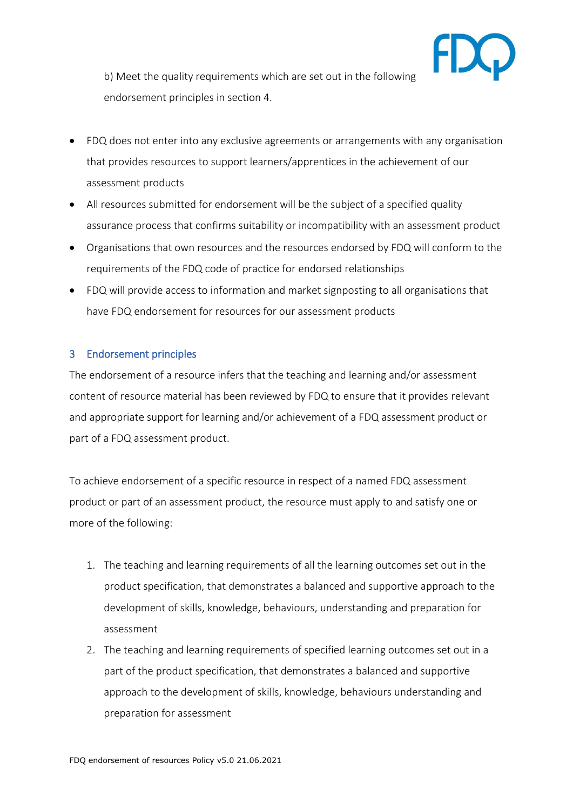

b) Meet the quality requirements which are set out in the following endorsement principles in section 4.

- FDQ does not enter into any exclusive agreements or arrangements with any organisation that provides resources to support learners/apprentices in the achievement of our assessment products
- All resources submitted for endorsement will be the subject of a specified quality assurance process that confirms suitability or incompatibility with an assessment product
- Organisations that own resources and the resources endorsed by FDQ will conform to the requirements of the FDQ code of practice for endorsed relationships
- FDQ will provide access to information and market signposting to all organisations that have FDQ endorsement for resources for our assessment products

## 3 Endorsement principles

The endorsement of a resource infers that the teaching and learning and/or assessment content of resource material has been reviewed by FDQ to ensure that it provides relevant and appropriate support for learning and/or achievement of a FDQ assessment product or part of a FDQ assessment product.

To achieve endorsement of a specific resource in respect of a named FDQ assessment product or part of an assessment product, the resource must apply to and satisfy one or more of the following:

- 1. The teaching and learning requirements of all the learning outcomes set out in the product specification, that demonstrates a balanced and supportive approach to the development of skills, knowledge, behaviours, understanding and preparation for assessment
- 2. The teaching and learning requirements of specified learning outcomes set out in a part of the product specification, that demonstrates a balanced and supportive approach to the development of skills, knowledge, behaviours understanding and preparation for assessment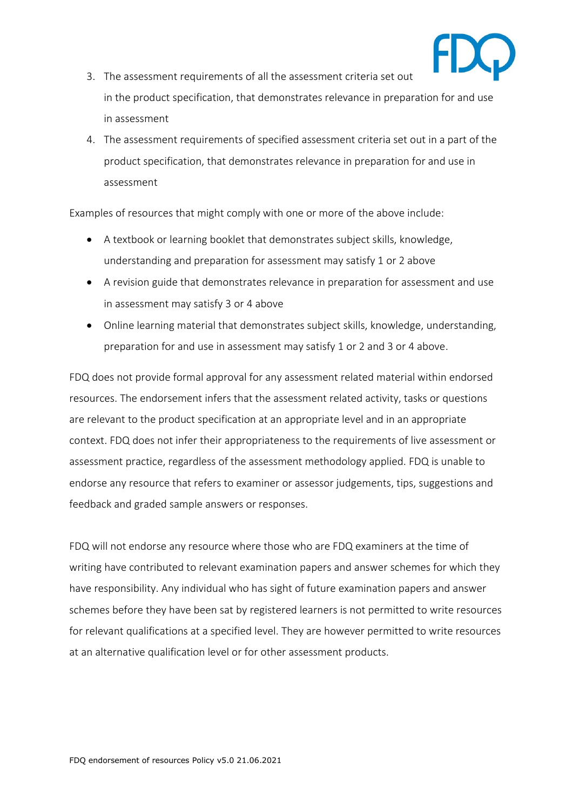

- 3. The assessment requirements of all the assessment criteria set out in the product specification, that demonstrates relevance in preparation for and use in assessment
- 4. The assessment requirements of specified assessment criteria set out in a part of the product specification, that demonstrates relevance in preparation for and use in assessment

Examples of resources that might comply with one or more of the above include:

- A textbook or learning booklet that demonstrates subject skills, knowledge, understanding and preparation for assessment may satisfy 1 or 2 above
- A revision guide that demonstrates relevance in preparation for assessment and use in assessment may satisfy 3 or 4 above
- Online learning material that demonstrates subject skills, knowledge, understanding, preparation for and use in assessment may satisfy 1 or 2 and 3 or 4 above.

FDQ does not provide formal approval for any assessment related material within endorsed resources. The endorsement infers that the assessment related activity, tasks or questions are relevant to the product specification at an appropriate level and in an appropriate context. FDQ does not infer their appropriateness to the requirements of live assessment or assessment practice, regardless of the assessment methodology applied. FDQ is unable to endorse any resource that refers to examiner or assessor judgements, tips, suggestions and feedback and graded sample answers or responses.

FDQ will not endorse any resource where those who are FDQ examiners at the time of writing have contributed to relevant examination papers and answer schemes for which they have responsibility. Any individual who has sight of future examination papers and answer schemes before they have been sat by registered learners is not permitted to write resources for relevant qualifications at a specified level. They are however permitted to write resources at an alternative qualification level or for other assessment products.